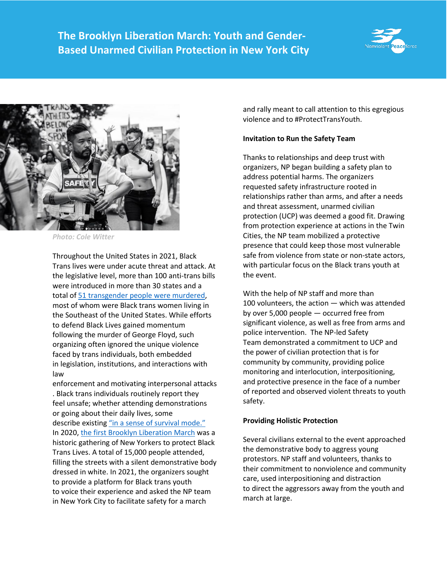



*Photo: Cole Witter*

Throughout the United States in 2021, Black Trans lives were under acute threat and attack. At the legislative level, more than 100 anti-trans bills were introduced in more than 30 states and a total of [51 transgender people were murdered,](https://www.hrc.org/resources/fatal-violence-against-the-transgender-and-gender-non-conforming-community-in-2021) most of whom were Black trans women living in the Southeast of the United States. While efforts to defend Black Lives gained momentum following the murder of George Floyd, such organizing often ignored the unique violence faced by trans individuals, both embedded in legislation, institutions, and interactions with law

enforcement and motivating interpersonal attacks . Black trans individuals routinely report they feel unsafe; whether attending demonstrations or going about their daily lives, some describe existing ["in a sense of survival mode."](https://www.nbcnews.com/nbc-out/out-news/transgender-people-survival-mode-violence-rises-anti-trans-bills-becom-rcna6053) In 2020, the first [Brooklyn Liberation March](https://www.nytimes.com/2020/06/15/nyregion/brooklyn-black-trans-parade.html) was a historic gathering of New Yorkers to protect Black Trans Lives. A total of 15,000 people attended, filling the streets with a silent demonstrative body dressed in white. In 2021, the organizers sought to provide a platform for Black trans youth to voice their experience and asked the NP team in New York City to facilitate safety for a march

and rally meant to call attention to this egregious violence and to #ProtectTransYouth.

## **Invitation to Run the Safety Team**

Thanks to relationships and deep trust with organizers, NP began building a safety plan to address potential harms. The organizers requested safety infrastructure rooted in relationships rather than arms, and after a needs and threat assessment, unarmed civilian protection (UCP) was deemed a good fit. Drawing from protection experience at actions in the Twin Cities, the NP team mobilized a protective presence that could keep those most vulnerable safe from violence from state or non-state actors, with particular focus on the Black trans youth at the event.

With the help of NP staff and more than 100 volunteers, the action — which was attended by over 5,000 people — occurred free from significant violence, as well as free from arms and police intervention. The NP-led Safety Team demonstrated a commitment to UCP and the power of civilian protection that is for community by community, providing police monitoring and interlocution, interpositioning, and protective presence in the face of a number of reported and observed violent threats to youth safety.

## **Providing Holistic Protection**

Several civilians external to the event approached the demonstrative body to aggress young protestors. NP staff and volunteers, thanks to their commitment to nonviolence and community care, used interpositioning and distraction to direct the aggressors away from the youth and march at large.